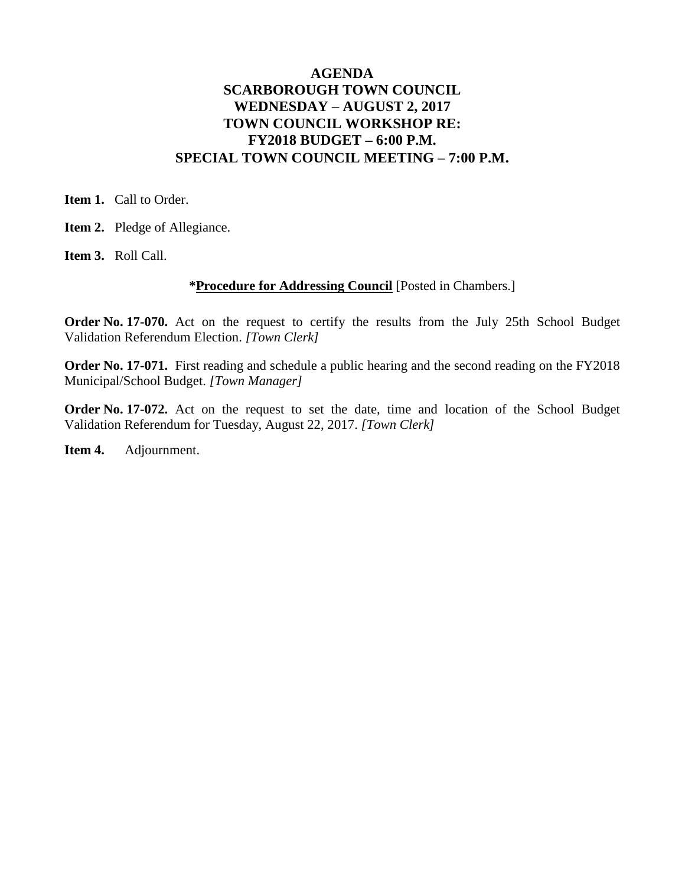## **AGENDA SCARBOROUGH TOWN COUNCIL WEDNESDAY – AUGUST 2, 2017 TOWN COUNCIL WORKSHOP RE: FY2018 BUDGET – 6:00 P.M. SPECIAL TOWN COUNCIL MEETING – 7:00 P.M.**

**Item 1.** Call to Order.

**Item 2.** Pledge of Allegiance.

**Item 3.** Roll Call.

#### **\*Procedure for Addressing Council** [Posted in Chambers.]

**Order No. 17-070.** Act on the request to certify the results from the July 25th School Budget Validation Referendum Election. *[Town Clerk]*

**Order No. 17-071.** First reading and schedule a public hearing and the second reading on the FY2018 Municipal/School Budget. *[Town Manager]*

**Order No. 17-072.** Act on the request to set the date, time and location of the School Budget Validation Referendum for Tuesday, August 22, 2017. *[Town Clerk]*

**Item 4.** Adjournment.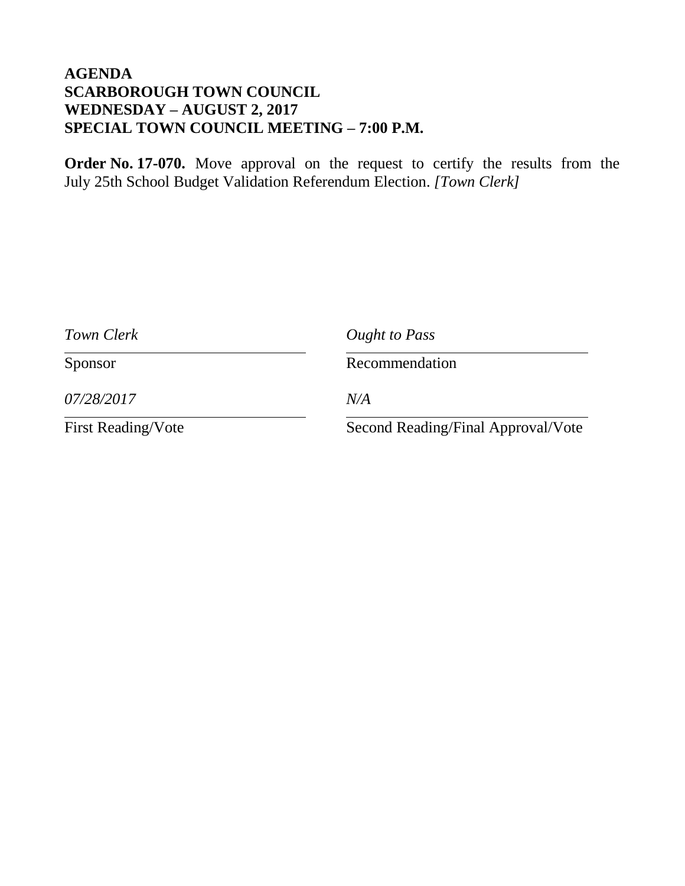# **AGENDA SCARBOROUGH TOWN COUNCIL WEDNESDAY – AUGUST 2, 2017 SPECIAL TOWN COUNCIL MEETING – 7:00 P.M.**

**Order No. 17-070.** Move approval on the request to certify the results from the July 25th School Budget Validation Referendum Election. *[Town Clerk]*

| Town Clerk                | Ought to Pass                      |
|---------------------------|------------------------------------|
| Sponsor                   | Recommendation                     |
| 07/28/2017                | N/A                                |
| <b>First Reading/Vote</b> | Second Reading/Final Approval/Vote |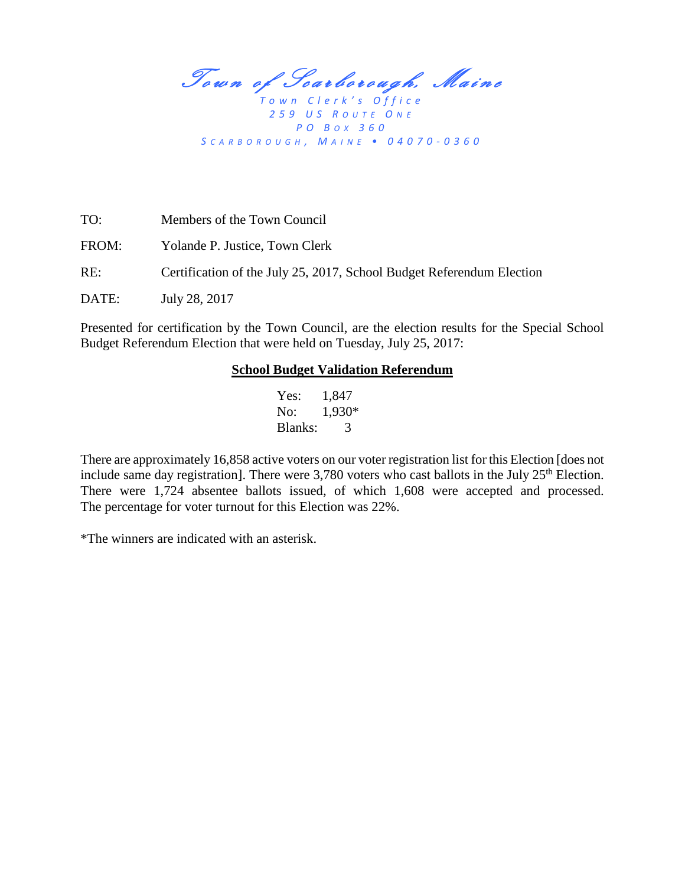Town of Scarborough, Maine

*T o w n C l e r k ' s O f f i c e 2 5 9 U S R O U T E O N E P O B O X 360 S C A R B O R O U G H , M A I N E • 04070 - 0360*

| TO:   | Members of the Town Council                                           |
|-------|-----------------------------------------------------------------------|
| FROM: | Yolande P. Justice, Town Clerk                                        |
| RE:   | Certification of the July 25, 2017, School Budget Referendum Election |
| DATE: | July 28, 2017                                                         |

Presented for certification by the Town Council, are the election results for the Special School Budget Referendum Election that were held on Tuesday, July 25, 2017:

#### **School Budget Validation Referendum**

Yes: 1,847 No: 1,930\* Blanks: 3

There are approximately 16,858 active voters on our voter registration list for this Election [does not include same day registration]. There were  $3,780$  voters who cast ballots in the July  $25<sup>th</sup>$  Election. There were 1,724 absentee ballots issued, of which 1,608 were accepted and processed. The percentage for voter turnout for this Election was 22%.

\*The winners are indicated with an asterisk.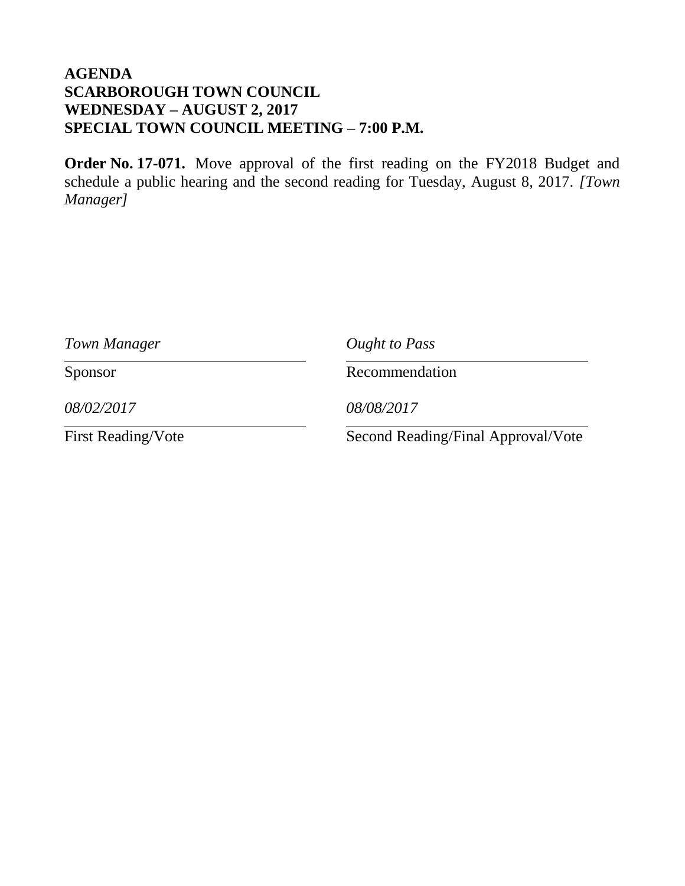# **AGENDA SCARBOROUGH TOWN COUNCIL WEDNESDAY – AUGUST 2, 2017 SPECIAL TOWN COUNCIL MEETING – 7:00 P.M.**

**Order No. 17-071.** Move approval of the first reading on the FY2018 Budget and schedule a public hearing and the second reading for Tuesday, August 8, 2017. *[Town Manager]*

| Town Manager              | Ought to Pass                      |
|---------------------------|------------------------------------|
| Sponsor                   | Recommendation                     |
| 08/02/2017                | 08/08/2017                         |
| <b>First Reading/Vote</b> | Second Reading/Final Approval/Vote |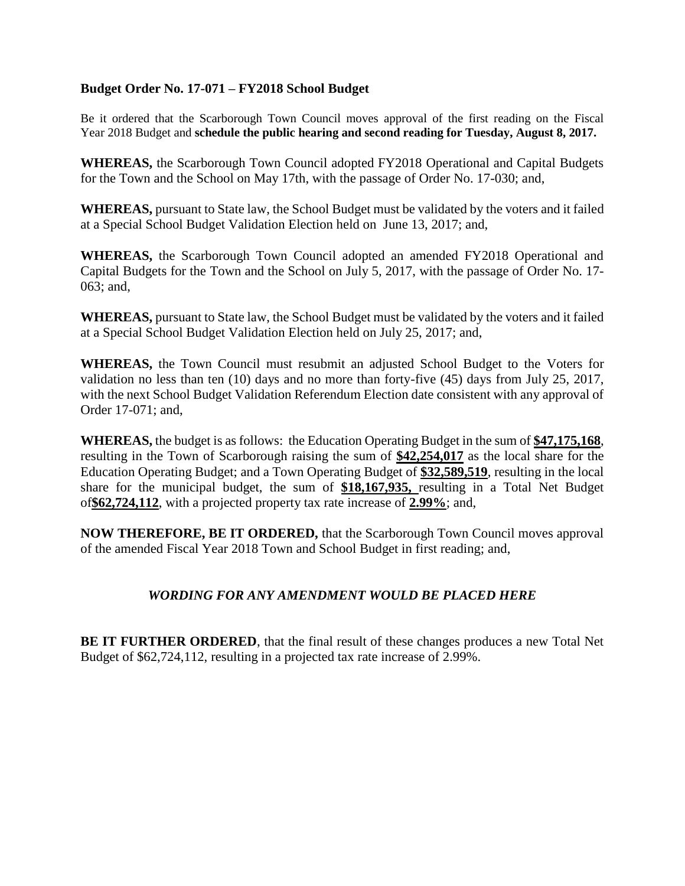### **Budget Order No. 17-071 – FY2018 School Budget**

Be it ordered that the Scarborough Town Council moves approval of the first reading on the Fiscal Year 2018 Budget and **schedule the public hearing and second reading for Tuesday, August 8, 2017.**

**WHEREAS,** the Scarborough Town Council adopted FY2018 Operational and Capital Budgets for the Town and the School on May 17th, with the passage of Order No. 17-030; and,

**WHEREAS,** pursuant to State law, the School Budget must be validated by the voters and it failed at a Special School Budget Validation Election held on June 13, 2017; and,

**WHEREAS,** the Scarborough Town Council adopted an amended FY2018 Operational and Capital Budgets for the Town and the School on July 5, 2017, with the passage of Order No. 17- 063; and,

**WHEREAS,** pursuant to State law, the School Budget must be validated by the voters and it failed at a Special School Budget Validation Election held on July 25, 2017; and,

**WHEREAS,** the Town Council must resubmit an adjusted School Budget to the Voters for validation no less than ten (10) days and no more than forty-five (45) days from July 25, 2017, with the next School Budget Validation Referendum Election date consistent with any approval of Order 17-071; and,

**WHEREAS,** the budget is as follows:the Education Operating Budget in the sum of **\$47,175,168**, resulting in the Town of Scarborough raising the sum of **\$42,254,017** as the local share for the Education Operating Budget; and a Town Operating Budget of **\$32,589,519**, resulting in the local share for the municipal budget, the sum of **\$18,167,935,** resulting in a Total Net Budget of**\$62,724,112**, with a projected property tax rate increase of **2.99%**; and,

**NOW THEREFORE, BE IT ORDERED,** that the Scarborough Town Council moves approval of the amended Fiscal Year 2018 Town and School Budget in first reading; and,

### *WORDING FOR ANY AMENDMENT WOULD BE PLACED HERE*

**BE IT FURTHER ORDERED**, that the final result of these changes produces a new Total Net Budget of \$62,724,112, resulting in a projected tax rate increase of 2.99%.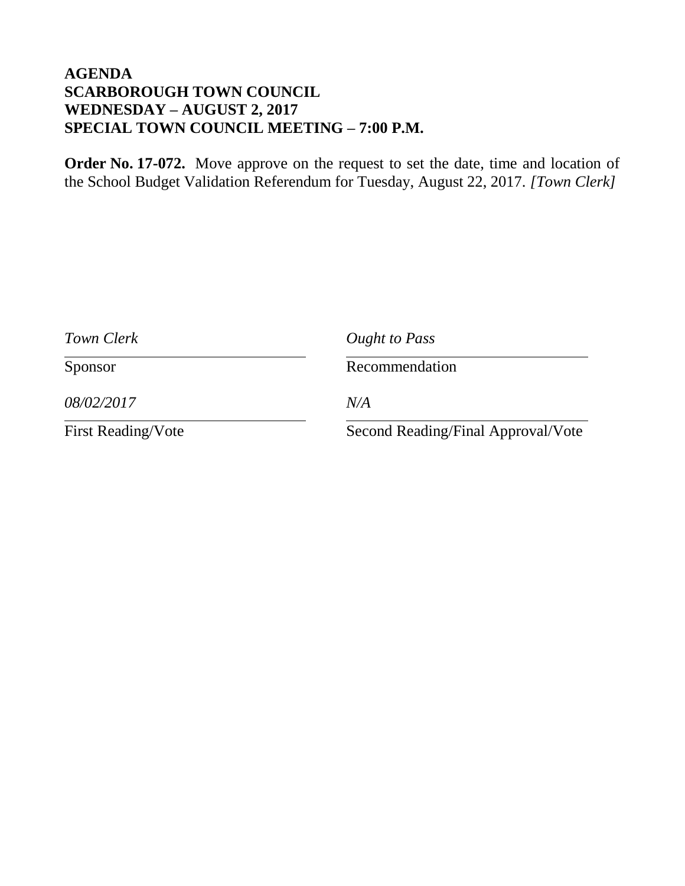# **AGENDA SCARBOROUGH TOWN COUNCIL WEDNESDAY – AUGUST 2, 2017 SPECIAL TOWN COUNCIL MEETING – 7:00 P.M.**

**Order No. 17-072.** Move approve on the request to set the date, time and location of the School Budget Validation Referendum for Tuesday, August 22, 2017. *[Town Clerk]*

| Town Clerk                | Ought to Pass                      |
|---------------------------|------------------------------------|
| Sponsor                   | Recommendation                     |
| 08/02/2017                | N/A                                |
| <b>First Reading/Vote</b> | Second Reading/Final Approval/Vote |